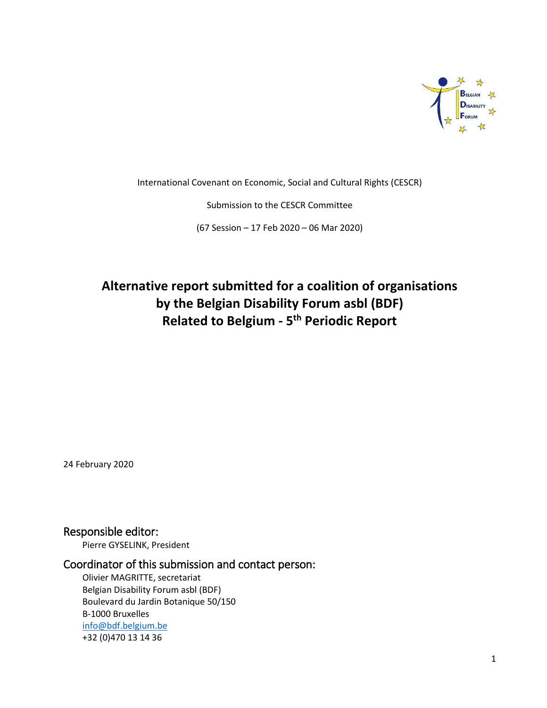

International Covenant on Economic, Social and Cultural Rights (CESCR)

Submission to the CESCR Committee

(67 Session – 17 Feb 2020 – 06 Mar 2020)

# **Alternative report submitted for a coalition of organisations by the Belgian Disability Forum asbl (BDF) Related to Belgium - 5 th Periodic Report**

24 February 2020

Responsible editor:

Pierre GYSELINK, President

### Coordinator of this submission and contact person:

Olivier MAGRITTE, secretariat Belgian Disability Forum asbl (BDF) Boulevard du Jardin Botanique 50/150 B-1000 Bruxelles [info@bdf.belgium.be](mailto:info@bdf.belgium.be) +32 (0)470 13 14 36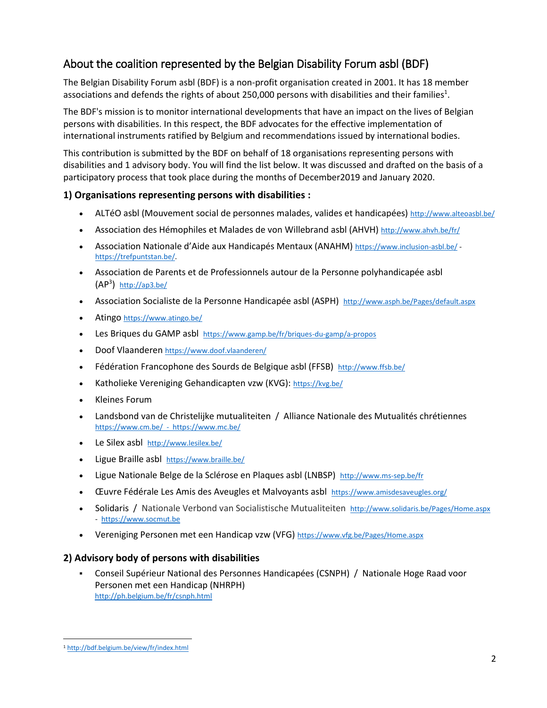# About the coalition represented by the Belgian Disability Forum asbl (BDF)

The Belgian Disability Forum asbl (BDF) is a non-profit organisation created in 2001. It has 18 member associations and defends the rights of about 250,000 persons with disabilities and their families<sup>1</sup>.

The BDF's mission is to monitor international developments that have an impact on the lives of Belgian persons with disabilities. In this respect, the BDF advocates for the effective implementation of international instruments ratified by Belgium and recommendations issued by international bodies.

This contribution is submitted by the BDF on behalf of 18 organisations representing persons with disabilities and 1 advisory body. You will find the list below. It was discussed and drafted on the basis of a participatory process that took place during the months of December2019 and January 2020.

#### **1) Organisations representing persons with disabilities :**

- ALTéO asbl (Mouvement social de personnes malades, valides et handicapées) <http://www.alteoasbl.be/>
- Association des Hémophiles et Malades de von Willebrand asbl (AHVH) <http://www.ahvh.be/fr/>
- Association Nationale d'Aide aux Handicapés Mentaux (ANAHM) <https://www.inclusion-asbl.be/> [https://trefpuntstan.be/.](https://trefpuntstan.be/)
- Association de Parents et de Professionnels autour de la Personne polyhandicapée asbl  $(AP<sup>3</sup>)$  <http://ap3.be/>
- Association Socialiste de la Personne Handicapée asbl (ASPH) <http://www.asph.be/Pages/default.aspx>
- Atingo <https://www.atingo.be/>
- Les Briques du GAMP asbl https://www.gamp.be/fr/briques-du-gamp/a-propos
- Doof Vlaanderen <https://www.doof.vlaanderen/>
- Fédération Francophone des Sourds de Belgique asbl (FFSB) http://www.ffsb.be/
- Katholieke Vereniging Gehandicapten vzw (KVG): <https://kvg.be/>
- Kleines Forum
- Landsbond van de Christelijke mutualiteiten / Alliance Nationale des Mutualités chrétiennes https://www.cm.be/ -<https://www.mc.be/>
- Le Silex asbl http://www.lesilex.be/
- Ligue Braille asbl <https://www.braille.be/>
- Ligue Nationale Belge de la Sclérose en Plaques asbl (LNBSP) <http://www.ms-sep.be/fr>
- *Œuvre Fédérale Les Amis des Aveugles et Malvoyants asbl <https://www.amisdesaveugles.org/>*
- Solidaris / Nationale Verbond van Socialistische Mutualiteiten <http://www.solidaris.be/Pages/Home.aspx> - [https://www.socmut.be](https://www.socmut.be/)
- Vereniging Personen met een Handicap vzw (VFG) <https://www.vfg.be/Pages/Home.aspx>

#### **2) Advisory body of persons with disabilities**

▪ Conseil Supérieur National des Personnes Handicapées (CSNPH) / Nationale Hoge Raad voor Personen met een Handicap (NHRPH) <http://ph.belgium.be/fr/csnph.html>

l <sup>1</sup> <http://bdf.belgium.be/view/fr/index.html>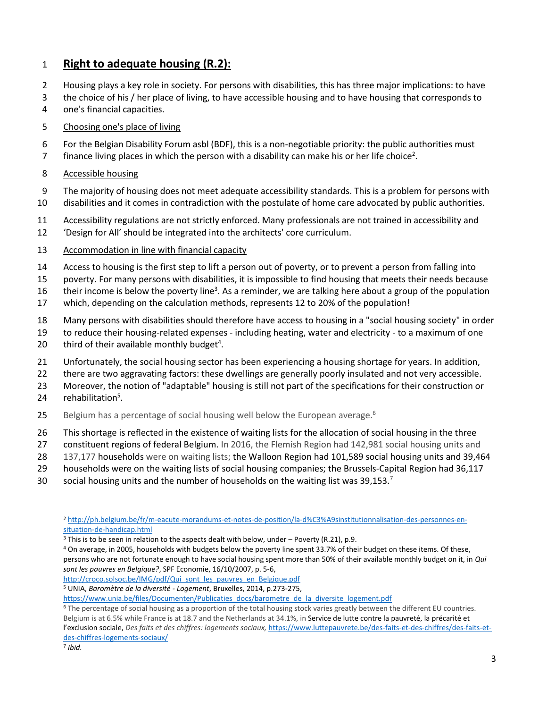### **Right to adequate housing (R.2):**

- Housing plays a key role in society. For persons with disabilities, this has three major implications: to have
- the choice of his / her place of living, to have accessible housing and to have housing that corresponds to
- one's financial capacities.
- Choosing one's place of living
- For the Belgian Disability Forum asbl (BDF), this is a non-negotiable priority: the public authorities must
- 7 finance living places in which the person with a disability can make his or her life choice<sup>2</sup>.

#### Accessible housing

- The majority of housing does not meet adequate accessibility standards. This is a problem for persons with
- disabilities and it comes in contradiction with the postulate of home care advocated by public authorities.
- Accessibility regulations are not strictly enforced. Many professionals are not trained in accessibility and
- 'Design for All' should be integrated into the architects' core curriculum.
- Accommodation in line with financial capacity
- Access to housing is the first step to lift a person out of poverty, or to prevent a person from falling into
- poverty. For many persons with disabilities, it is impossible to find housing that meets their needs because
- 16 their income is below the poverty line<sup>3</sup>. As a reminder, we are talking here about a group of the population
- which, depending on the calculation methods, represents 12 to 20% of the population!
- Many persons with disabilities should therefore have access to housing in a "social housing society" in order
- to reduce their housing-related expenses including heating, water and electricity to a maximum of one
- 20 third of their available monthly budget<sup>4</sup>.
- Unfortunately, the social housing sector has been experiencing a housing shortage for years. In addition,
- there are two aggravating factors: these dwellings are generally poorly insulated and not very accessible.
- Moreover, the notion of "adaptable" housing is still not part of the specifications for their construction or
- 24  $rehabilitation<sup>5</sup>$ .
- 25 Belgium has a percentage of social housing well below the European average.<sup>6</sup>
- This shortage is reflected in the existence of waiting lists for the allocation of social housing in the three
- constituent regions of federal Belgium. In 2016, the Flemish Region had 142,981 social housing units and
- 137,177 households were on waiting lists; the Walloon Region had 101,589 social housing units and 39,464
- households were on the waiting lists of social housing companies; the Brussels-Capital Region had 36,117
- 30 social housing units and the number of households on the waiting list was  $39,153.^7$

 On average, in 2005, households with budgets below the poverty line spent 33.7% of their budget on these items. Of these, persons who are not fortunate enough to have social housing spent more than 50% of their available monthly budget on it, in *Qui sont les pauvres en Belgique?*, SPF Economie, 16/10/2007, p. 5-6,

[http://croco.solsoc.be/IMG/pdf/Qui\\_sont\\_les\\_pauvres\\_en\\_Belgique.pdf](http://croco.solsoc.be/IMG/pdf/Qui_sont_les_pauvres_en_Belgique.pdf)

UNIA, *Baromètre de la diversité - Logement*, Bruxelles, 2014, p.273-275,

 $\overline{a}$  [http://ph.belgium.be/fr/m-eacute-morandums-et-notes-de-position/la-d%C3%A9sinstitutionnalisation-des-personnes-en](http://ph.belgium.be/fr/m-eacute-morandums-et-notes-de-position/la-d%C3%A9sinstitutionnalisation-des-personnes-en-situation-de-handicap.html)[situation-de-handicap.html](http://ph.belgium.be/fr/m-eacute-morandums-et-notes-de-position/la-d%C3%A9sinstitutionnalisation-des-personnes-en-situation-de-handicap.html)

<sup>&</sup>lt;sup>3</sup> This is to be seen in relation to the aspects dealt with below, under – Poverty (R.21), p.9.

[https://www.unia.be/files/Documenten/Publicaties\\_docs/barometre\\_de\\_la\\_diversite\\_logement.pdf](https://www.unia.be/files/Documenten/Publicaties_docs/barometre_de_la_diversite_logement.pdf)

 The percentage of social housing as a proportion of the total housing stock varies greatly between the different EU countries. Belgium is at 6.5% while France is at 18.7 and the Netherlands at 34.1%, in Service de lutte contre la pauvreté, la précarité et l'exclusion sociale, *Des faits et des chiffres: logements sociaux,* [https://www.luttepauvrete.be/des-faits-et-des-chiffres/des-faits-et](https://www.luttepauvrete.be/des-faits-et-des-chiffres/des-faits-et-des-chiffres-logements-sociaux/)[des-chiffres-logements-sociaux/](https://www.luttepauvrete.be/des-faits-et-des-chiffres/des-faits-et-des-chiffres-logements-sociaux/)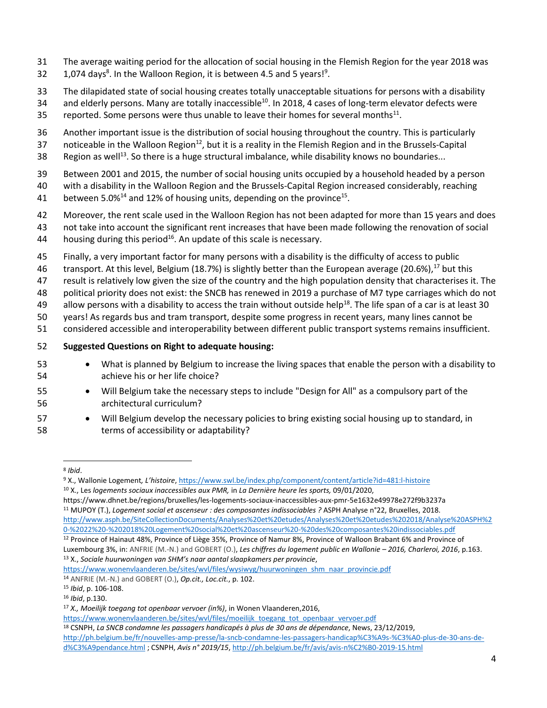- The average waiting period for the allocation of social housing in the Flemish Region for the year 2018 was
- 32  $1,074$  days<sup>8</sup>. In the Walloon Region, it is between 4.5 and 5 years!<sup>9</sup>.
- The dilapidated state of social housing creates totally unacceptable situations for persons with a disability
- 34 and elderly persons. Many are totally inaccessible<sup>10</sup>. In 2018, 4 cases of long-term elevator defects were
- 35 reported. Some persons were thus unable to leave their homes for several months $^{11}$ .
- Another important issue is the distribution of social housing throughout the country. This is particularly
- 37 noticeable in the Walloon Region<sup>12</sup>, but it is a reality in the Flemish Region and in the Brussels-Capital
- 38 . Region as well<sup>13</sup>. So there is a huge structural imbalance, while disability knows no boundaries...
- Between 2001 and 2015, the number of social housing units occupied by a household headed by a person
- with a disability in the Walloon Region and the Brussels-Capital Region increased considerably, reaching
- 41 between 5.0%<sup>14</sup> and 12% of housing units, depending on the province<sup>15</sup>.
- Moreover, the rent scale used in the Walloon Region has not been adapted for more than 15 years and does
- not take into account the significant rent increases that have been made following the renovation of social
- 44 housing during this period<sup>16</sup>. An update of this scale is necessary.
- Finally, a very important factor for many persons with a disability is the difficulty of access to public
- 46 transport. At this level, Belgium (18.7%) is slightly better than the European average (20.6%),<sup>17</sup> but this
- result is relatively low given the size of the country and the high population density that characterises it. The
- political priority does not exist: the SNCB has renewed in 2019 a purchase of M7 type carriages which do not
- 49 allow persons with a disability to access the train without outside help<sup>18</sup>. The life span of a car is at least 30
- years! As regards bus and tram transport, despite some progress in recent years, many lines cannot be
- considered accessible and interoperability between different public transport systems remains insufficient.
- **Suggested Questions on Right to adequate housing:**
- What is planned by Belgium to increase the living spaces that enable the person with a disability to achieve his or her life choice?
- Will Belgium take the necessary steps to include "Design for All" as a compulsory part of the architectural curriculum?
- Will Belgium develop the necessary policies to bring existing social housing up to standard, in terms of accessibility or adaptability?

- <https://www.dhnet.be/regions/bruxelles/les-logements-sociaux-inaccessibles-aux-pmr-5e1632e49978e272f9b3237a>
- MUPOY (T.), *Logement social et ascenseur : des composantes indissociables ?* ASPH Analyse n°22, Bruxelles, 2018. [http://www.asph.be/SiteCollectionDocuments/Analyses%20et%20etudes/Analyses%20et%20etudes%202018/Analyse%20ASPH%2](http://www.asph.be/SiteCollectionDocuments/Analyses%20et%20etudes/Analyses%20et%20etudes%202018/Analyse%20ASPH%20-%2022%20-%202018%20Logement%20social%20et%20ascenseur%20-%20des%20composantes%20indissociables.pdf) [0-%2022%20-%202018%20Logement%20social%20et%20ascenseur%20-%20des%20composantes%20indissociables.pdf](http://www.asph.be/SiteCollectionDocuments/Analyses%20et%20etudes/Analyses%20et%20etudes%202018/Analyse%20ASPH%20-%2022%20-%202018%20Logement%20social%20et%20ascenseur%20-%20des%20composantes%20indissociables.pdf)
- Province of Hainaut 48%, Province of Liège 35%, Province of Namur 8%, Province of Walloon Brabant 6% and Province of Luxembourg 3%, in: ANFRIE (M.-N.) and GOBERT (O.), Les chiffres du logement public en Wallonie - 2016, Charleroi, 2016, p.163. X., *Sociale huurwoningen van SHM's naar aantal slaapkamers per provincie*,
- [https://www.wonenvlaanderen.be/sites/wvl/files/wysiwyg/huurwoningen\\_shm\\_naar\\_provincie.pdf](https://www.wonenvlaanderen.be/sites/wvl/files/wysiwyg/huurwoningen_shm_naar_provincie.pdf)

 $\overline{\phantom{a}}$ *Ibid*.

 X., Wallonie Logement*, L'histoire*[, https://www.swl.be/index.php/component/content/article?id=481:l-histoire](https://www.swl.be/index.php/component/content/article?id=481:l-histoire) X., Les *logements sociaux inaccessibles aux PMR,* in *La Dernière heure les sports,* 09/01/2020,

ANFRIE (M.-N.) and GOBERT (O.), *Op.cit., Loc.cit.*, p. 102.

*Ibid*, p. 106-108.

*Ibid*, p.130.

*X., Moeilijk toegang tot openbaar vervoer (in%)*, in Wonen Vlaanderen,2016,

https://www.wonenvlaanderen.be/sites/wvl/files/moeilijk\_toegang\_tot\_openbaar\_vervoer.pdf

CSNPH, *La SNCB condamne les passagers handicapés à plus de 30 ans de dépendance*, News, 23/12/2019,

[http://ph.belgium.be/fr/nouvelles-amp-presse/la-sncb-condamne-les-passagers-handicap%C3%A9s-%C3%A0-plus-de-30-ans-de](http://ph.belgium.be/fr/nouvelles-amp-presse/la-sncb-condamne-les-passagers-handicap%C3%A9s-%C3%A0-plus-de-30-ans-de-d%C3%A9pendance.html)[d%C3%A9pendance.html](http://ph.belgium.be/fr/nouvelles-amp-presse/la-sncb-condamne-les-passagers-handicap%C3%A9s-%C3%A0-plus-de-30-ans-de-d%C3%A9pendance.html) ; CSNPH, *Avis n° 2019/15*, <http://ph.belgium.be/fr/avis/avis-n%C2%B0-2019-15.html>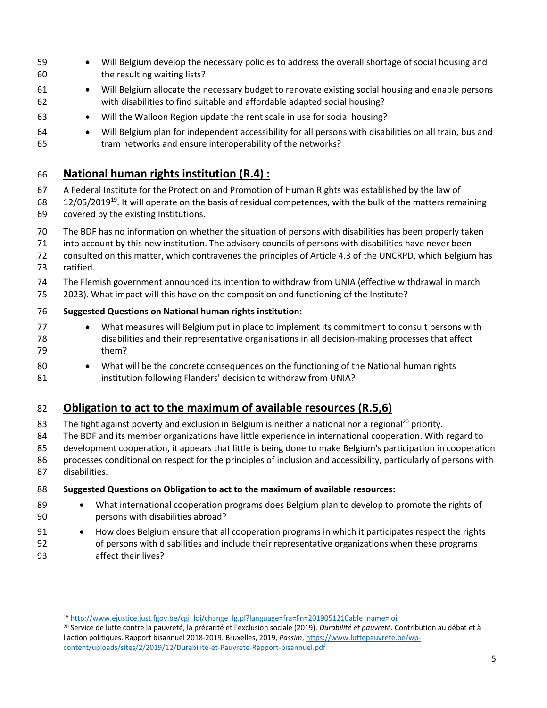- Will Belgium develop the necessary policies to address the overall shortage of social housing and the resulting waiting lists?
- Will Belgium allocate the necessary budget to renovate existing social housing and enable persons with disabilities to find suitable and affordable adapted social housing?
- Will the Walloon Region update the rent scale in use for social housing?
- Will Belgium plan for independent accessibility for all persons with disabilities on all train, bus and tram networks and ensure interoperability of the networks?

### **National human rights institution (R.4) :**

- A Federal Institute for the Protection and Promotion of Human Rights was established by the law of
- 68 12/05/2019<sup>19</sup>. It will operate on the basis of residual competences, with the bulk of the matters remaining covered by the existing Institutions.
- The BDF has no information on whether the situation of persons with disabilities has been properly taken
- into account by this new institution. The advisory councils of persons with disabilities have never been
- consulted on this matter, which contravenes the principles of Article 4.3 of the UNCRPD, which Belgium has ratified.
- The Flemish government announced its intention to withdraw from UNIA (effective withdrawal in march
- 2023). What impact will this have on the composition and functioning of the Institute?
- **Suggested Questions on National human rights institution:**
- 77 What measures will Belgium put in place to implement its commitment to consult persons with disabilities and their representative organisations in all decision-making processes that affect them?
- 80 What will be the concrete consequences on the functioning of the National human rights 81 institution following Flanders' decision to withdraw from UNIA?

# **Obligation to act to the maximum of available resources (R.5,6)**

- 83 The fight against poverty and exclusion in Belgium is neither a national nor a regional<sup>20</sup> priority.
- The BDF and its member organizations have little experience in international cooperation. With regard to
- development cooperation, it appears that little is being done to make Belgium's participation in cooperation processes conditional on respect for the principles of inclusion and accessibility, particularly of persons with
- disabilities.

 $\overline{a}$ 

- **Suggested Questions on Obligation to act to the maximum of available resources:**
- 89 What international cooperation programs does Belgium plan to develop to promote the rights of persons with disabilities abroad?
- How does Belgium ensure that all cooperation programs in which it participates respect the rights of persons with disabilities and include their representative organizations when these programs affect their lives?

[http://www.ejustice.just.fgov.be/cgi\\_loi/change\\_lg.pl?language=fra=Fn=2019051210able\\_name=loi](http://www.ejustice.just.fgov.be/cgi_loi/change_lg.pl?language=fr&la=F&cn=2019051210&table_name=loi)

 Service de lutte contre la pauvreté, la précarité et l'exclusion sociale (2019). *Durabilité et pauvreté*. Contribution au débat et à l'action politiques. Rapport bisannuel 2018-2019. Bruxelles, 2019, *Passim*[, https://www.luttepauvrete.be/wp](https://www.luttepauvrete.be/wp-content/uploads/sites/2/2019/12/Durabilite-et-Pauvrete-Rapport-bisannuel.pdf)[content/uploads/sites/2/2019/12/Durabilite-et-Pauvrete-Rapport-bisannuel.pdf](https://www.luttepauvrete.be/wp-content/uploads/sites/2/2019/12/Durabilite-et-Pauvrete-Rapport-bisannuel.pdf)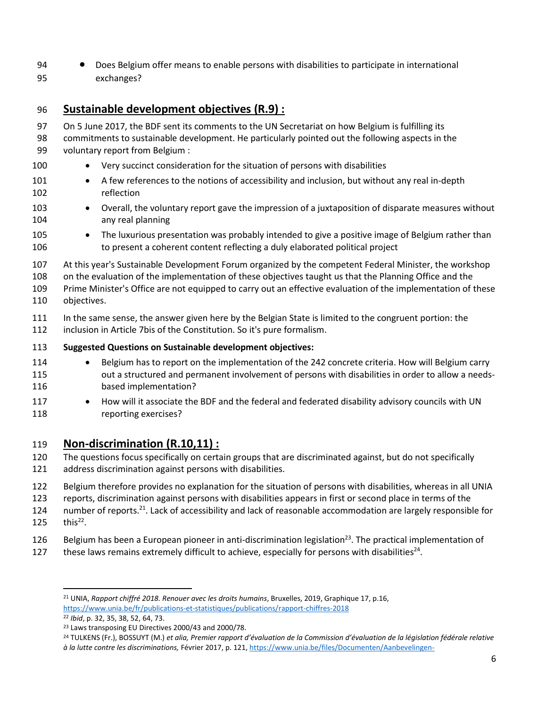• Does Belgium offer means to enable persons with disabilities to participate in international exchanges?

# **Sustainable development objectives (R.9) :**

- On 5 June 2017, the BDF sent its comments to the UN Secretariat on how Belgium is fulfilling its
- commitments to sustainable development. He particularly pointed out the following aspects in the voluntary report from Belgium :
- 100 Very succinct consideration for the situation of persons with disabilities
- 101 A few references to the notions of accessibility and inclusion, but without any real in-depth reflection
- Overall, the voluntary report gave the impression of a juxtaposition of disparate measures without any real planning
- 105 The luxurious presentation was probably intended to give a positive image of Belgium rather than to present a coherent content reflecting a duly elaborated political project
- At this year's Sustainable Development Forum organized by the competent Federal Minister, the workshop

 on the evaluation of the implementation of these objectives taught us that the Planning Office and the Prime Minister's Office are not equipped to carry out an effective evaluation of the implementation of these

- objectives.
- In the same sense, the answer given here by the Belgian State is limited to the congruent portion: the
- inclusion in Article 7bis of the Constitution. So it's pure formalism.

#### **Suggested Questions on Sustainable development objectives:**

- 114 Belgium has to report on the implementation of the 242 concrete criteria. How will Belgium carry out a structured and permanent involvement of persons with disabilities in order to allow a needs-based implementation?
- 117 How will it associate the BDF and the federal and federated disability advisory councils with UN reporting exercises?

### **Non-discrimination (R.10,11) :**

- The questions focus specifically on certain groups that are discriminated against, but do not specifically
- address discrimination against persons with disabilities.
- Belgium therefore provides no explanation for the situation of persons with disabilities, whereas in all UNIA
- reports, discrimination against persons with disabilities appears in first or second place in terms of the

124 number of reports.<sup>21</sup>. Lack of accessibility and lack of reasonable accommodation are largely responsible for

125  $\frac{this^{22}}{2}$ .

- 126 Belgium has been a European pioneer in anti-discrimination legislation<sup>23</sup>. The practical implementation of
- 127 these laws remains extremely difficult to achieve, especially for persons with disabilities<sup>24</sup>.

 UNIA, *Rapport chiffré 2018. Renouer avec les droits humains*, Bruxelles, 2019, Graphique 17, p.16, <https://www.unia.be/fr/publications-et-statistiques/publications/rapport-chiffres-2018>

*Ibid*, p. 32, 35, 38, 52, 64, 73.

Laws transposing EU Directives 2000/43 and 2000/78.

 TULKENS (Fr.), BOSSUYT (M.) *et alia, Premier rapport d'évaluation de la Commission d'évaluation de la législation fédérale relative à la lutte contre les discriminations,* Février 2017, p. 121[, https://www.unia.be/files/Documenten/Aanbevelingen-](https://www.unia.be/files/Documenten/Aanbevelingen-advies/Commission_d%C3%A9valuation_de_la_l%C3%A9gislation_f%C3%A9d%C3%A9rale_relative_%C3%A0_la_lutte_contre_les_discriminations.pdf)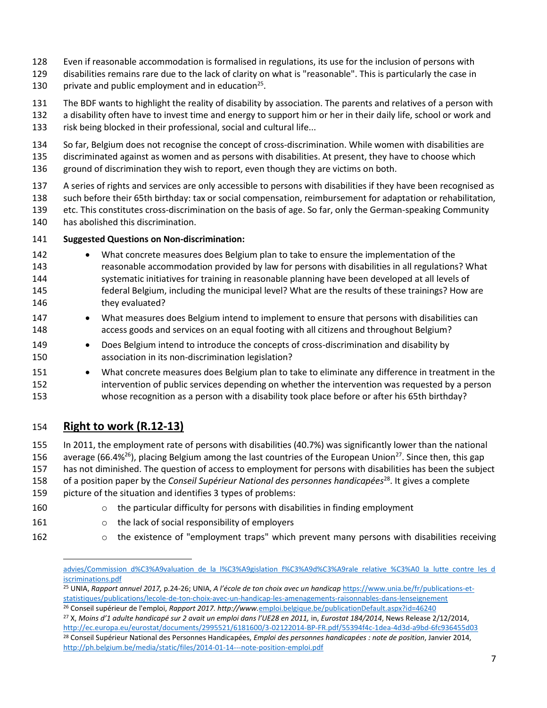- Even if reasonable accommodation is formalised in regulations, its use for the inclusion of persons with
- disabilities remains rare due to the lack of clarity on what is "reasonable". This is particularly the case in
- 130 private and public employment and in education<sup>25</sup>.
- The BDF wants to highlight the reality of disability by association. The parents and relatives of a person with
- a disability often have to invest time and energy to support him or her in their daily life, school or work and risk being blocked in their professional, social and cultural life...
- So far, Belgium does not recognise the concept of cross-discrimination. While women with disabilities are
- discriminated against as women and as persons with disabilities. At present, they have to choose which
- ground of discrimination they wish to report, even though they are victims on both.
- A series of rights and services are only accessible to persons with disabilities if they have been recognised as
- such before their 65th birthday: tax or social compensation, reimbursement for adaptation or rehabilitation, etc. This constitutes cross-discrimination on the basis of age. So far, only the German-speaking Community
- has abolished this discrimination.
- **Suggested Questions on Non-discrimination:**
- What concrete measures does Belgium plan to take to ensure the implementation of the reasonable accommodation provided by law for persons with disabilities in all regulations? What systematic initiatives for training in reasonable planning have been developed at all levels of federal Belgium, including the municipal level? What are the results of these trainings? How are they evaluated?
- What measures does Belgium intend to implement to ensure that persons with disabilities can access goods and services on an equal footing with all citizens and throughout Belgium?
- Does Belgium intend to introduce the concepts of cross-discrimination and disability by association in its non-discrimination legislation?
- What concrete measures does Belgium plan to take to eliminate any difference in treatment in the intervention of public services depending on whether the intervention was requested by a person whose recognition as a person with a disability took place before or after his 65th birthday?

# **Right to work (R.12-13)**

- In 2011, the employment rate of persons with disabilities (40.7%) was significantly lower than the national
- 156 average (66.4%<sup>26</sup>), placing Belgium among the last countries of the European Union<sup>27</sup>. Since then, this gap
- has not diminished. The question of access to employment for persons with disabilities has been the subject
- 158 of a position paper by the *Conseil Supérieur National des personnes handicapées*<sup>28</sup>. It gives a complete
- picture of the situation and identifies 3 types of problems:
- o the particular difficulty for persons with disabilities in finding employment
- **b** o the lack of social responsibility of employers
- 
- o the existence of "employment traps" which prevent many persons with disabilities receiving

 $\overline{\phantom{a}}$ advies/Commission d%C3%A9valuation de la l%C3%A9gislation f%C3%A9d%C3%A9rale relative %C3%A0 la lutte contre les d [iscriminations.pdf](https://www.unia.be/files/Documenten/Aanbevelingen-advies/Commission_d%C3%A9valuation_de_la_l%C3%A9gislation_f%C3%A9d%C3%A9rale_relative_%C3%A0_la_lutte_contre_les_discriminations.pdf)

 UNIA, *Rapport annuel 2017,* p.24-26; UNIA, *A l'école de ton choix avec un handicap* https://www.unia.be/fr/publications-etstatistiques/publications/lecole-de-ton-choix-avec-un-handicap-les-amenagements-raisonnables-dans-lenseignement Conseil supérieur de l'emploi, *Rapport 2017. http://www.*[emploi.belgique.be/publicationDefault.aspx?id=46240](http://www.emploi.belgique.be/publicationDefault.aspx?id=46240)

 X, *Moins d'1 adulte handicapé sur 2 avait un emploi dans l'UE28 en 2011,* in, *Eurostat 184/2014*, News Release 2/12/2014, <http://ec.europa.eu/eurostat/documents/2995521/6181600/3-02122014-BP-FR.pdf/55394f4c-1dea-4d3d-a9bd-6fc936455d03>

 Conseil Supérieur National des Personnes Handicapées, *Emploi des personnes handicapées : note de position*, Janvier 2014, <http://ph.belgium.be/media/static/files/2014-01-14---note-position-emploi.pdf>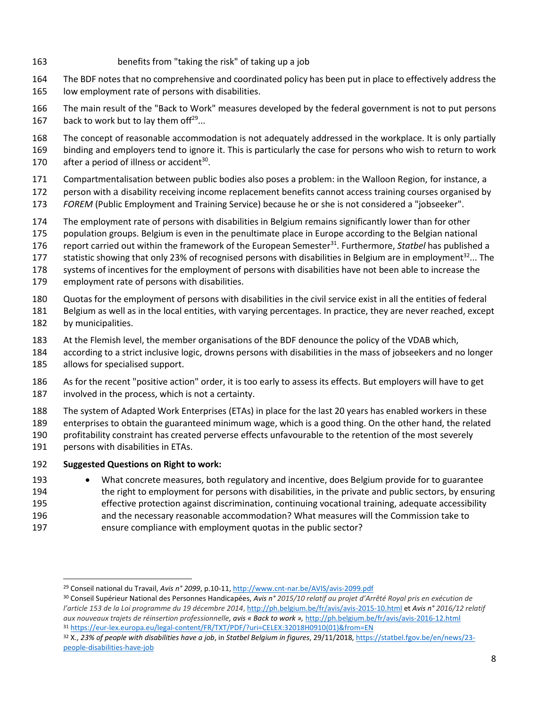- benefits from "taking the risk" of taking up a job
- The BDF notes that no comprehensive and coordinated policy has been put in place to effectively address the low employment rate of persons with disabilities.

 The main result of the "Back to Work" measures developed by the federal government is not to put persons 167 back to work but to lay them of  $f^{29}...$ 

 The concept of reasonable accommodation is not adequately addressed in the workplace. It is only partially binding and employers tend to ignore it. This is particularly the case for persons who wish to return to work 170 after a period of illness or accident.

- Compartmentalisation between public bodies also poses a problem: in the Walloon Region, for instance, a
- person with a disability receiving income replacement benefits cannot access training courses organised by
- *FOREM* (Public Employment and Training Service) because he or she is not considered a "jobseeker".
- The employment rate of persons with disabilities in Belgium remains significantly lower than for other
- population groups. Belgium is even in the penultimate place in Europe according to the Belgian national
- 176 report carried out within the framework of the European Semester<sup>31</sup>. Furthermore, *Statbel* has published a
- 177 statistic showing that only 23% of recognised persons with disabilities in Belgium are in employment<sup>32</sup>... The
- systems of incentives for the employment of persons with disabilities have not been able to increase the
- employment rate of persons with disabilities.
- Quotas for the employment of persons with disabilities in the civil service exist in all the entities of federal
- Belgium as well as in the local entities, with varying percentages. In practice, they are never reached, except by municipalities.
- At the Flemish level, the member organisations of the BDF denounce the policy of the VDAB which,
- according to a strict inclusive logic, drowns persons with disabilities in the mass of jobseekers and no longer allows for specialised support.
- As for the recent "positive action" order, it is too early to assess its effects. But employers will have to get involved in the process, which is not a certainty.
- The system of Adapted Work Enterprises (ETAs) in place for the last 20 years has enabled workers in these
- enterprises to obtain the guaranteed minimum wage, which is a good thing. On the other hand, the related
- profitability constraint has created perverse effects unfavourable to the retention of the most severely
- persons with disabilities in ETAs.

l

#### **Suggested Questions on Right to work:**

- What concrete measures, both regulatory and incentive, does Belgium provide for to guarantee the right to employment for persons with disabilities, in the private and public sectors, by ensuring effective protection against discrimination, continuing vocational training, adequate accessibility
- and the necessary reasonable accommodation? What measures will the Commission take to
- ensure compliance with employment quotas in the public sector?

Conseil national du Travail, *Avis n° 2099*, p.10-11,<http://www.cnt-nar.be/AVIS/avis-2099.pdf>

 Conseil Supérieur National des Personnes Handicapées, *Avis n° 2015/10 relatif au projet d'Arrêté Royal pris en exécution de l'article 153 de la Loi programme du 19 décembre 2014*[, http://ph.belgium.be/fr/avis/avis-2015-10.html](http://ph.belgium.be/fr/avis/avis-2015-10.html) et *Avis n° 2016/12 relatif aux nouveaux trajets de réinsertion professionnelle, avis « Back to work »,* <http://ph.belgium.be/fr/avis/avis-2016-12.html> [https://eur-lex.europa.eu/legal-content/FR/TXT/PDF/?uri=CELEX:32018H0910\(01\)&from=EN](https://eur-lex.europa.eu/legal-content/FR/TXT/PDF/?uri=CELEX:32018H0910(01)&from=EN)

 X., *23% of people with disabilities have a job*, in *Statbel Belgium in figures*, 29/11/2018[, https://statbel.fgov.be/en/news/23](https://statbel.fgov.be/en/news/23-people-disabilities-have-job) [people-disabilities-have-job](https://statbel.fgov.be/en/news/23-people-disabilities-have-job)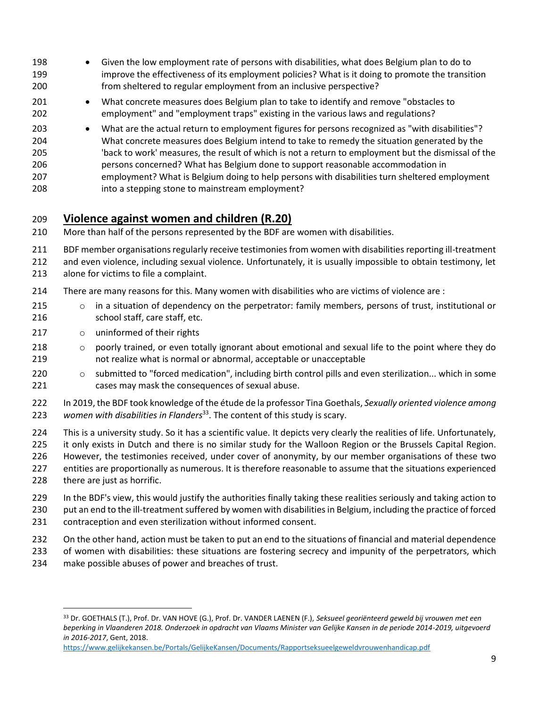- Given the low employment rate of persons with disabilities, what does Belgium plan to do to improve the effectiveness of its employment policies? What is it doing to promote the transition from sheltered to regular employment from an inclusive perspective?
- What concrete measures does Belgium plan to take to identify and remove "obstacles to employment" and "employment traps" existing in the various laws and regulations?
- What are the actual return to employment figures for persons recognized as "with disabilities"? What concrete measures does Belgium intend to take to remedy the situation generated by the 'back to work' measures, the result of which is not a return to employment but the dismissal of the persons concerned? What has Belgium done to support reasonable accommodation in employment? What is Belgium doing to help persons with disabilities turn sheltered employment into a stepping stone to mainstream employment?

## **Violence against women and children (R.20)**

More than half of the persons represented by the BDF are women with disabilities.

BDF member organisations regularly receive testimonies from women with disabilities reporting ill-treatment

- and even violence, including sexual violence. Unfortunately, it is usually impossible to obtain testimony, let
- alone for victims to file a complaint.
- There are many reasons for this. Many women with disabilities who are victims of violence are :
- o in a situation of dependency on the perpetrator: family members, persons of trust, institutional or school staff, care staff, etc.
- 217 o uninformed of their rights
- 218 o poorly trained, or even totally ignorant about emotional and sexual life to the point where they do not realize what is normal or abnormal, acceptable or unacceptable
- 220 o submitted to "forced medication", including birth control pills and even sterilization... which in some cases may mask the consequences of sexual abuse.
- In 2019, the BDF took knowledge of the étude de la professor Tina Goethals, *Sexually oriented violence among*  223 women with disabilities in Flanders<sup>33</sup>. The content of this study is scary.
- This is a university study. So it has a scientific value. It depicts very clearly the realities of life. Unfortunately, it only exists in Dutch and there is no similar study for the Walloon Region or the Brussels Capital Region. However, the testimonies received, under cover of anonymity, by our member organisations of these two
- entities are proportionally as numerous. It is therefore reasonable to assume that the situations experienced there are just as horrific.
- 229 In the BDF's view, this would justify the authorities finally taking these realities seriously and taking action to 230 put an end to the ill-treatment suffered by women with disabilities in Belgium, including the practice of forced
- contraception and even sterilization without informed consent.
- On the other hand, action must be taken to put an end to the situations of financial and material dependence
- of women with disabilities: these situations are fostering secrecy and impunity of the perpetrators, which
- make possible abuses of power and breaches of trust.

 $\overline{a}$ 

 Dr. GOETHALS (T.), Prof. Dr. VAN HOVE (G.), Prof. Dr. VANDER LAENEN (F.), *Seksueel georiënteerd geweld bij vrouwen met een beperking in Vlaanderen 2018. Onderzoek in opdracht van Vlaams Minister van Gelijke Kansen in de periode 2014-2019, uitgevoerd in 2016-2017*, Gent, 2018.

<https://www.gelijkekansen.be/Portals/GelijkeKansen/Documents/Rapportseksueelgeweldvrouwenhandicap.pdf>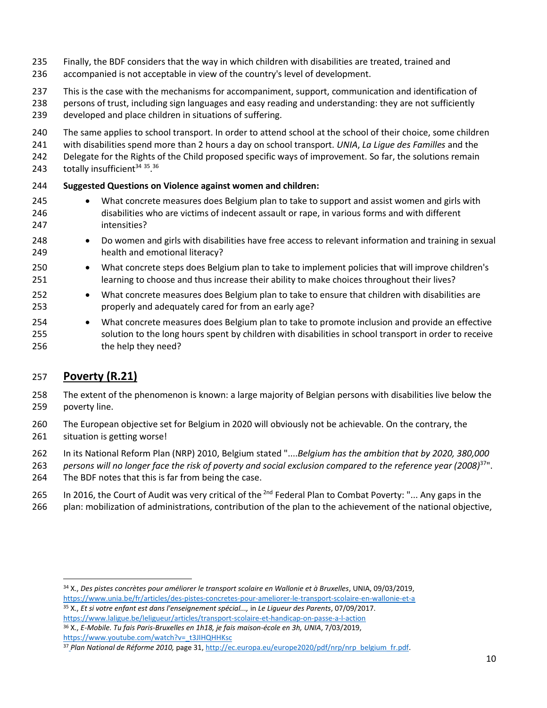- Finally, the BDF considers that the way in which children with disabilities are treated, trained and
- accompanied is not acceptable in view of the country's level of development.
- This is the case with the mechanisms for accompaniment, support, communication and identification of
- persons of trust, including sign languages and easy reading and understanding: they are not sufficiently
- developed and place children in situations of suffering.
- The same applies to school transport. In order to attend school at the school of their choice, some children
- with disabilities spend more than 2 hours a day on school transport. *UNIA*, *La Ligue des Familles* and the
- Delegate for the Rights of the Child proposed specific ways of improvement. So far, the solutions remain
- 243 totally insufficient  $35.36$

#### **Suggested Questions on Violence against women and children:**

- What concrete measures does Belgium plan to take to support and assist women and girls with disabilities who are victims of indecent assault or rape, in various forms and with different intensities?
- Do women and girls with disabilities have free access to relevant information and training in sexual health and emotional literacy?
- What concrete steps does Belgium plan to take to implement policies that will improve children's learning to choose and thus increase their ability to make choices throughout their lives?
- 252 What concrete measures does Belgium plan to take to ensure that children with disabilities are properly and adequately cared for from an early age?
- What concrete measures does Belgium plan to take to promote inclusion and provide an effective solution to the long hours spent by children with disabilities in school transport in order to receive the help they need?

# **Poverty (R.21)**

- The extent of the phenomenon is known: a large majority of Belgian persons with disabilities live below the poverty line.
- The European objective set for Belgium in 2020 will obviously not be achievable. On the contrary, the situation is getting worse!
- In its National Reform Plan (NRP) 2010, Belgium stated "....*Belgium has the ambition that by 2020, 380,000*
- 263 persons will no longer face the risk of poverty and social exclusion compared to the reference year (2008)<sup>37</sup>". The BDF notes that this is far from being the case.
- 265 In 2016, the Court of Audit was very critical of the <sup>2nd</sup> Federal Plan to Combat Poverty: "... Any gaps in the
- plan: mobilization of administrations, contribution of the plan to the achievement of the national objective,

l X., *Des pistes concrètes pour améliorer le transport scolaire en Wallonie et à Bruxelles*, UNIA, 09/03/2019, <https://www.unia.be/fr/articles/des-pistes-concretes-pour-ameliorer-le-transport-scolaire-en-wallonie-et-a> X., *Et si votre enfant est dans l'enseignement spécial...,* in *Le Ligueur des Parents*, 07/09/2017.

<https://www.laligue.be/leligueur/articles/transport-scolaire-et-handicap-on-passe-a-l-action> X., *E-Mobile. Tu fais Paris-Bruxelles en 1h18, je fais maison-école en 3h, UNIA*, 7/03/2019, [https://www.youtube.com/watch?v=\\_t3JIHQHHKsc](https://www.youtube.com/watch?v=_t3JIHQHHKsc)

<sup>&</sup>lt;sup>37</sup> Plan National de Réforme 2010, [page 31, http://ec.europa.eu/europe2020/pdf/nrp/nrp\\_belgium\\_fr.pdf.](http://ec.europa.eu/europe2020/pdf/nrp/nrp_belgium_fr.pdf)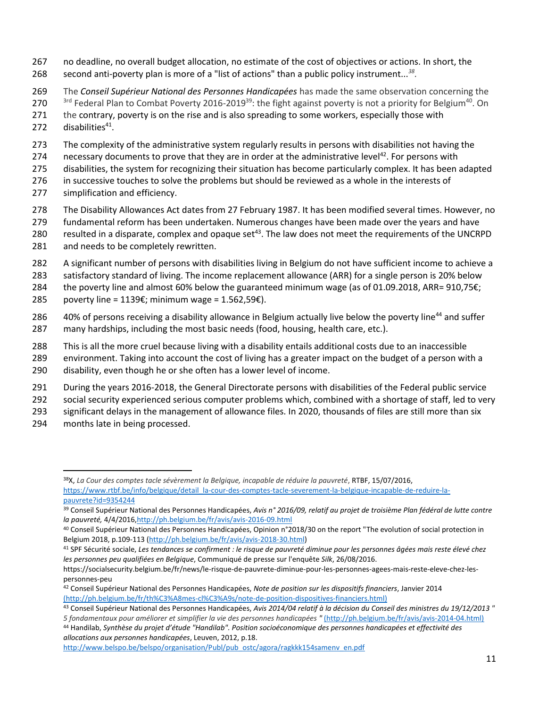- 267 no deadline, no overall budget allocation, no estimate of the cost of objectives or actions. In short, the second anti-poverty plan is more of a "list of actions" than a public policy instrument...*<sup>38</sup>* 268 *.*
- 269 The *Conseil Supérieur National des Personnes Handicapées* has made the same observation concerning the 3rd Federal Plan to Combat Poverty 2016-2019<sup>39</sup>: the fight against poverty is not a priority for Belgium<sup>40</sup>. On 271 the contrary, poverty is on the rise and is also spreading to some workers, especially those with
- 272 disabilities<sup>41</sup>.
- 273 The complexity of the administrative system regularly results in persons with disabilities not having the
- 274 necessary documents to prove that they are in order at the administrative level<sup>42</sup>. For persons with
- 275 disabilities, the system for recognizing their situation has become particularly complex. It has been adapted
- 276 in successive touches to solve the problems but should be reviewed as a whole in the interests of
- 277 simplification and efficiency.
- 278 The Disability Allowances Act dates from 27 February 1987. It has been modified several times. However, no
- 279 fundamental reform has been undertaken. Numerous changes have been made over the years and have 280 resulted in a disparate, complex and opaque set<sup>43</sup>. The law does not meet the requirements of the UNCRPD 281 and needs to be completely rewritten.
- 282 A significant number of persons with disabilities living in Belgium do not have sufficient income to achieve a
- 283 satisfactory standard of living. The income replacement allowance (ARR) for a single person is 20% below
- 284 the poverty line and almost 60% below the guaranteed minimum wage (as of 01.09.2018, ARR= 910,75€;
- 285 poverty line = 1139€; minimum wage = 1.562,59€).
- 286 40% of persons receiving a disability allowance in Belgium actually live below the poverty line<sup>44</sup> and suffer 287 many hardships, including the most basic needs (food, housing, health care, etc.).
- 288 This is all the more cruel because living with a disability entails additional costs due to an inaccessible
- 289 environment. Taking into account the cost of living has a greater impact on the budget of a person with a
- 290 disability, even though he or she often has a lower level of income.
- 291 During the years 2016-2018, the General Directorate persons with disabilities of the Federal public service
- 292 social security experienced serious computer problems which, combined with a shortage of staff, led to very
- 293 significant delays in the management of allowance files. In 2020, thousands of files are still more than six
- 294 months late in being processed.

<sup>38</sup>X, *La Cour des comptes tacle sévèrement la Belgique, incapable de réduire la pauvreté*, RTBF, 15/07/2016, [https://www.rtbf.be/info/belgique/detail\\_la-cour-des-comptes-tacle-severement-la-belgique-incapable-de-reduire-la](https://www.rtbf.be/info/belgique/detail_la-cour-des-comptes-tacle-severement-la-belgique-incapable-de-reduire-la-pauvrete?id=9354244)[pauvrete?id=9354244](https://www.rtbf.be/info/belgique/detail_la-cour-des-comptes-tacle-severement-la-belgique-incapable-de-reduire-la-pauvrete?id=9354244)

<sup>39</sup> Conseil Supérieur National des Personnes Handicapées, *Avis n° 2016/09, relatif au projet de troisième Plan fédéral de lutte contre la pauvreté,* 4/4/2016[,http://ph.belgium.be/fr/avis/avis-2016-09.html](http://ph.belgium.be/fr/avis/avis-2016-09.html)

<sup>40</sup> Conseil Supérieur National des Personnes Handicapées, Opinion n°2018/30 on the report "The evolution of social protection in Belgium 2018, p.109-113 [\(http://ph.belgium.be/fr/avis/avis-2018-30.html\)](http://ph.belgium.be/fr/avis/avis-2018-30.html)

<sup>41</sup> SPF Sécurité sociale, *Les tendances se confirment : le risque de pauvreté diminue pour les personnes âgées mais reste élevé chez les personnes peu qualifiées en Belgique*, Communiqué de presse sur l'enquête *Silk*, 26/08/2016.

https://socialsecurity.belgium.be/fr/news/le-risque-de-pauvrete-diminue-pour-les-personnes-agees-mais-reste-eleve-chez-lespersonnes-peu

<sup>42</sup> Conseil Supérieur National des Personnes Handicapées, *Note de position sur les dispositifs financiers*, Janvier 201[4](http://ph.belgium.be/fr/th%C3%A8mes-cl%C3%A9s/note-de-position-dispositifs-financiers.html) [\(http://ph.belgium.be/fr/th%C3%A8mes-cl%C3%A9s/note-de-position-dispositives-financiers.html\)](http://ph.belgium.be/fr/th%C3%A8mes-cl%C3%A9s/note-de-position-dispositifs-financiers.html)

<sup>43</sup> Conseil Supérieur National des Personnes Handicapées, *Avis 2014/04 relatif à la décision du Conseil des ministres du 19/12/2013 " 5 fondamentaux pour améliorer et simplifier la vie des personnes handicapées "* [\(h](http://ph.belgium.be/fr/avis/avis-2014-04.html)ttp://ph[.belgium.b](http://ph.belgium.be/fr/avis/avis-2014-04.html)e/fr/avis/avis-2014-04.html)

<sup>44</sup> Handilab, *Synthèse du projet d'étude "Handilab". Position socioéconomique des personnes handicapées et effectivité des allocations aux personnes handicapées*, Leuven, 2012, p.18.

http://www.belspo.be/belspo/organisation/Publ/pub\_ostc/agora/ragkkk154samenv\_en.pdf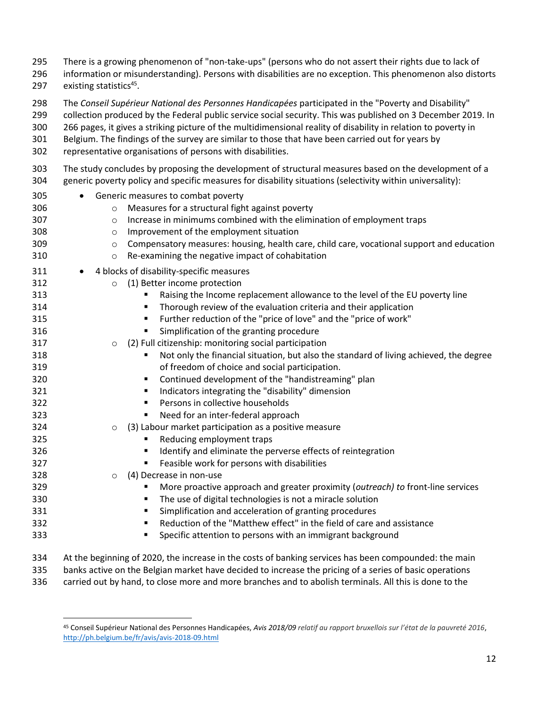- There is a growing phenomenon of "non-take-ups" (persons who do not assert their rights due to lack of information or misunderstanding). Persons with disabilities are no exception. This phenomenon also distorts 297 existing statistics<sup>45</sup>. The *Conseil Supérieur National des Personnes Handicapées* participated in the "Poverty and Disability" collection produced by the Federal public service social security. This was published on 3 December 2019. In 266 pages, it gives a striking picture of the multidimensional reality of disability in relation to poverty in Belgium. The findings of the survey are similar to those that have been carried out for years by representative organisations of persons with disabilities. The study concludes by proposing the development of structural measures based on the development of a generic poverty policy and specific measures for disability situations (selectivity within universality): • Generic measures to combat poverty o Measures for a structural fight against poverty o Increase in minimums combined with the elimination of employment traps o Improvement of the employment situation **compensatory measures: housing, health care, child care, vocational support and education**  o Re-examining the negative impact of cohabitation 311 • 4 blocks of disability-specific measures o (1) Better income protection **• Raising the Income replacement allowance to the level of the EU poverty line • Thorough review of the evaluation criteria and their application • Further reduction of the "price of love" and the "price of work" • Simplification of the granting procedure**  o (2) Full citizenship: monitoring social participation **• Induced Fundal Stuation**, but also the standard of living achieved, the degree of freedom of choice and social participation. **• Continued development of the "handistreaming" plan •** Indicators integrating the "disability" dimension **Persons in collective households • Need for an inter-federal approach**  o (3) Labour market participation as a positive measure **• Reducing employment traps • Identify and eliminate the perverse effects of reintegration • Feasible work for persons with disabilities**  o (4) Decrease in non-use ▪ More proactive approach and greater proximity (*outreach) to* front-line services **• The use of digital technologies is not a miracle solution • Simplification and acceleration of granting procedures • Exercise 1 Figure 1 Reduction of the "Matthew effect" in the field of care and assistance**  ▪ Specific attention to persons with an immigrant background At the beginning of 2020, the increase in the costs of banking services has been compounded: the main
	-
- banks active on the Belgian market have decided to increase the pricing of a series of basic operations
- carried out by hand, to close more and more branches and to abolish terminals. All this is done to the

 $\overline{\phantom{a}}$  Conseil Supérieur National des Personnes Handicapées, *Avis 2018/09 relatif au rapport bruxellois sur l'état de la pauvreté 2016*, <http://ph.belgium.be/fr/avis/avis-2018-09.html>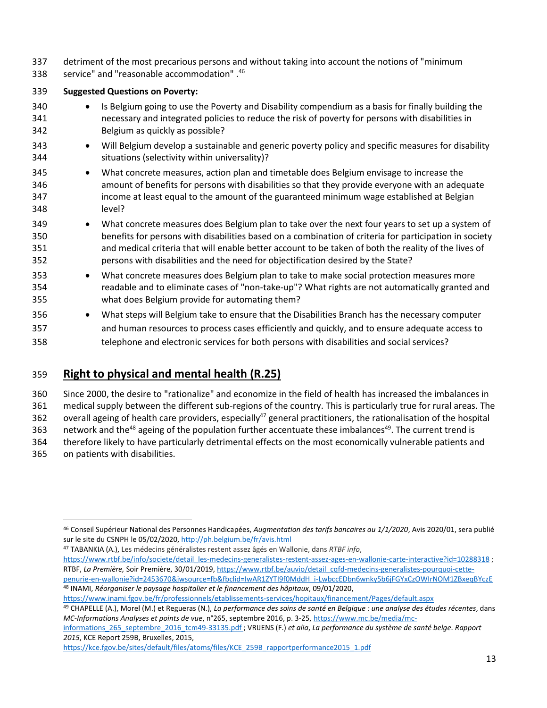- detriment of the most precarious persons and without taking into account the notions of "minimum
- 338 service" and "reasonable accommodation".

#### **Suggested Questions on Poverty:**

- Is Belgium going to use the Poverty and Disability compendium as a basis for finally building the necessary and integrated policies to reduce the risk of poverty for persons with disabilities in Belgium as quickly as possible?
- Will Belgium develop a sustainable and generic poverty policy and specific measures for disability situations (selectivity within universality)?
- What concrete measures, action plan and timetable does Belgium envisage to increase the amount of benefits for persons with disabilities so that they provide everyone with an adequate income at least equal to the amount of the guaranteed minimum wage established at Belgian level?
- What concrete measures does Belgium plan to take over the next four years to set up a system of benefits for persons with disabilities based on a combination of criteria for participation in society and medical criteria that will enable better account to be taken of both the reality of the lives of persons with disabilities and the need for objectification desired by the State?
- What concrete measures does Belgium plan to take to make social protection measures more readable and to eliminate cases of "non-take-up"? What rights are not automatically granted and what does Belgium provide for automating them?
- What steps will Belgium take to ensure that the Disabilities Branch has the necessary computer and human resources to process cases efficiently and quickly, and to ensure adequate access to telephone and electronic services for both persons with disabilities and social services?

# **Right to physical and mental health (R.25)**

Since 2000, the desire to "rationalize" and economize in the field of health has increased the imbalances in

medical supply between the different sub-regions of the country. This is particularly true for rural areas. The

362 overall ageing of health care providers, especially<sup>47</sup> general practitioners, the rationalisation of the hospital

363 network and the<sup>48</sup> ageing of the population further accentuate these imbalances<sup>49</sup>. The current trend is

therefore likely to have particularly detrimental effects on the most economically vulnerable patients and

on patients with disabilities.

TABANKIA (A.), Les médecins généralistes restent assez âgés en Wallonie, dans *RTBF info*,

[https://www.rtbf.be/info/societe/detail\\_les-medecins-generalistes-restent-assez-ages-en-wallonie-carte-interactive?id=10288318](https://www.rtbf.be/info/societe/detail_les-medecins-generalistes-restent-assez-ages-en-wallonie-carte-interactive?id=10288318) ; RTBF, *La Première,* Soir Première, 30/01/2019, [https://www.rtbf.be/auvio/detail\\_cqfd-medecins-generalistes-pourquoi-cette](https://www.rtbf.be/auvio/detail_cqfd-medecins-generalistes-pourquoi-cette-penurie-en-wallonie?id=2453670&jwsource=fb&fbclid=IwAR1ZYTI9f0MddH_i-LwbccEDbn6wnky5b6jFGYxCzOWIrNOM1ZBxeqBYczE)[penurie-en-wallonie?id=2453670&jwsource=fb&fbclid=IwAR1ZYTI9f0MddH\\_i-LwbccEDbn6wnky5b6jFGYxCzOWIrNOM1ZBxeqBYczE](https://www.rtbf.be/auvio/detail_cqfd-medecins-generalistes-pourquoi-cette-penurie-en-wallonie?id=2453670&jwsource=fb&fbclid=IwAR1ZYTI9f0MddH_i-LwbccEDbn6wnky5b6jFGYxCzOWIrNOM1ZBxeqBYczE) INAMI, *Réorganiser le paysage hospitalier et le financement des hôpitaux*, 09/01/2020,

[informations\\_265\\_septembre\\_2016\\_tcm49-33135.pdf](https://www.mc.be/media/mc-informations_265_septembre_2016_tcm49-33135.pdf) ; VRIJENS (F.) *et alia*, *La performance du système de santé belge. Rapport*  , KCE Report 259B, Bruxelles, 2015,

l Conseil Supérieur National des Personnes Handicapées, *Augmentation des tarifs bancaires au 1/1/2020*, Avis 2020/01, sera publié sur le site du CSNPH le 05/02/2020,<http://ph.belgium.be/fr/avis.html>

<https://www.inami.fgov.be/fr/professionnels/etablissements-services/hopitaux/financement/Pages/default.aspx>

 CHAPELLE (A.), Morel (M.) et Regueras (N.), *La performance des soins de santé en Belgique : une analyse des études récentes*, dans *MC-Informations Analyses et points de vue*, n°265, septembre 2016, p. 3-25, [https://www.mc.be/media/mc-](https://www.mc.be/media/mc-informations_265_septembre_2016_tcm49-33135.pdf)

[https://kce.fgov.be/sites/default/files/atoms/files/KCE\\_259B\\_rapportperformance2015\\_1.pdf](https://kce.fgov.be/sites/default/files/atoms/files/KCE_259B_rapportperformance2015_1.pdf)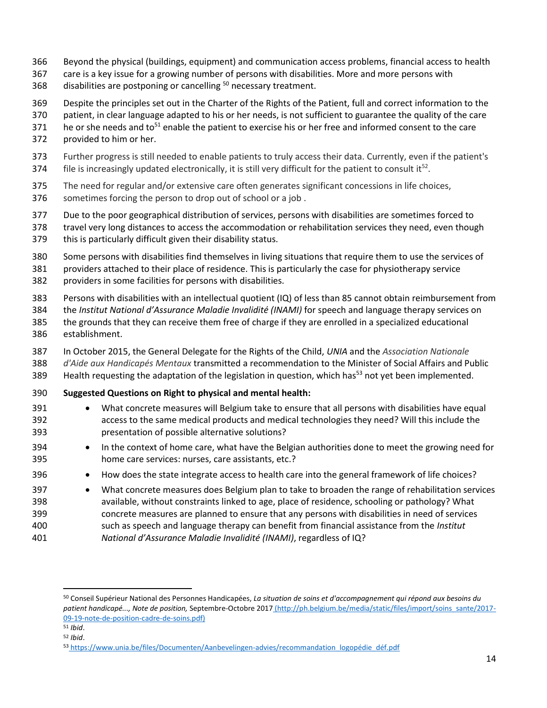- Beyond the physical (buildings, equipment) and communication access problems, financial access to health
- care is a key issue for a growing number of persons with disabilities. More and more persons with
- 368 disabilities are postponing or cancelling necessary treatment.
- Despite the principles set out in the Charter of the Rights of the Patient, full and correct information to the
- patient, in clear language adapted to his or her needs, is not sufficient to guarantee the quality of the care
- 371 he or she needs and to<sup>51</sup> enable the patient to exercise his or her free and informed consent to the care
- provided to him or her.
- Further progress is still needed to enable patients to truly access their data. Currently, even if the patient's 374 file is increasingly updated electronically, it is still very difficult for the patient to consult it<sup>52</sup>.
- The need for regular and/or extensive care often generates significant concessions in life choices, sometimes forcing the person to drop out of school or a job .
- Due to the poor geographical distribution of services, persons with disabilities are sometimes forced to
- travel very long distances to access the accommodation or rehabilitation services they need, even though this is particularly difficult given their disability status.
- Some persons with disabilities find themselves in living situations that require them to use the services of providers attached to their place of residence. This is particularly the case for physiotherapy service providers in some facilities for persons with disabilities.
- Persons with disabilities with an intellectual quotient (IQ) of less than 85 cannot obtain reimbursement from the *Institut National d'Assurance Maladie Invalidité (INAMI)* for speech and language therapy services on the grounds that they can receive them free of charge if they are enrolled in a specialized educational
- establishment.
- In October 2015, the General Delegate for the Rights of the Child, *UNIA* and the *Association Nationale d'Aide aux Handicapés Mentaux* transmitted a recommendation to the Minister of Social Affairs and Public Health requesting the adaptation of the legislation in question, which has<sup>53</sup> not yet been implemented.
- **Suggested Questions on Right to physical and mental health:**
- 391 What concrete measures will Belgium take to ensure that all persons with disabilities have equal access to the same medical products and medical technologies they need? Will this include the presentation of possible alternative solutions?
- In the context of home care, what have the Belgian authorities done to meet the growing need for home care services: nurses, care assistants, etc.?
- How does the state integrate access to health care into the general framework of life choices?
- What concrete measures does Belgium plan to take to broaden the range of rehabilitation services available, without constraints linked to age, place of residence, schooling or pathology? What concrete measures are planned to ensure that any persons with disabilities in need of services such as speech and language therapy can benefit from financial assistance from the *Institut National d'Assurance Maladie Invalidité (INAMI)*, regardless of IQ?

 Conseil Supérieur National des Personnes Handicapées, *La situation de soins et d'accompagnement qui répond aux besoins du patient handicapé..., Note de position,* Septembre-Octobre 2017 [\(h](http://ph.belgium.be/media/static/files/import/soins_sante/2017-09-19-note-de-position-cadre-de-soins.pdf)ttp://ph.belgium.be/media/static/files/import/soins\_sante/2017- 09-19-note-de-position-cadre-de-soins.pdf)

*Ibid*.

*Ibid*.

[https://www.unia.be/files/Documenten/Aanbevelingen-advies/recommandation\\_logopédie\\_déf.pdf](https://www.unia.be/files/Documenten/Aanbevelingen-advies/recommandation_logopédie_déf.pdf)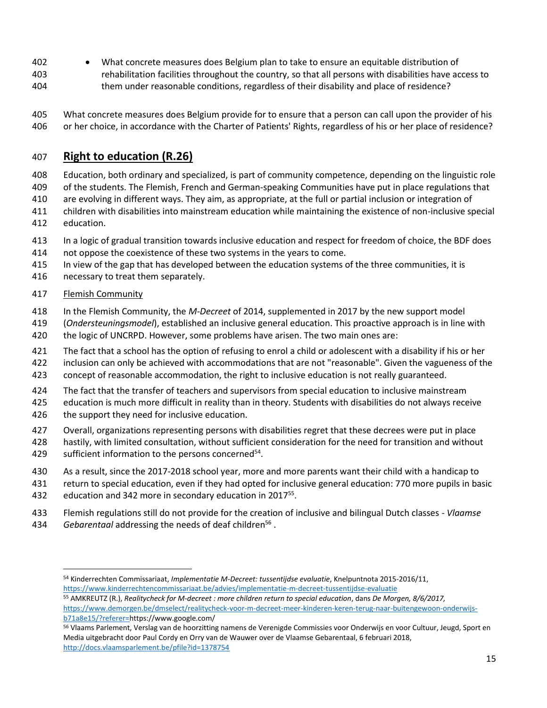• What concrete measures does Belgium plan to take to ensure an equitable distribution of rehabilitation facilities throughout the country, so that all persons with disabilities have access to them under reasonable conditions, regardless of their disability and place of residence?

 What concrete measures does Belgium provide for to ensure that a person can call upon the provider of his or her choice, in accordance with the Charter of Patients' Rights, regardless of his or her place of residence?

# **Right to education (R.26)**

- Education, both ordinary and specialized, is part of community competence, depending on the linguistic role
- of the students. The Flemish, French and German-speaking Communities have put in place regulations that
- are evolving in different ways. They aim, as appropriate, at the full or partial inclusion or integration of
- children with disabilities into mainstream education while maintaining the existence of non-inclusive special
- education.
- In a logic of gradual transition towards inclusive education and respect for freedom of choice, the BDF does
- not oppose the coexistence of these two systems in the years to come.
- In view of the gap that has developed between the education systems of the three communities, it is
- necessary to treat them separately.
- Flemish Community
- In the Flemish Community, the *M-Decreet* of 2014, supplemented in 2017 by the new support model
- (*Ondersteuningsmodel*), established an inclusive general education. This proactive approach is in line with
- the logic of UNCRPD. However, some problems have arisen. The two main ones are:
- The fact that a school has the option of refusing to enrol a child or adolescent with a disability if his or her
- inclusion can only be achieved with accommodations that are not "reasonable". Given the vagueness of the
- concept of reasonable accommodation, the right to inclusive education is not really guaranteed.
- The fact that the transfer of teachers and supervisors from special education to inclusive mainstream
- education is much more difficult in reality than in theory. Students with disabilities do not always receive
- 426 the support they need for inclusive education.
- Overall, organizations representing persons with disabilities regret that these decrees were put in place
- hastily, with limited consultation, without sufficient consideration for the need for transition and without
- 429 sufficient information to the persons concerned<sup>54</sup>.
- As a result, since the 2017-2018 school year, more and more parents want their child with a handicap to
- return to special education, even if they had opted for inclusive general education: 770 more pupils in basic 432 education and 342 more in secondary education in 2017 $<sup>55</sup>$ .</sup>
- 
- Flemish regulations still do not provide for the creation of inclusive and bilingual Dutch classes *Vlaamse*
- 434 *Gebarentaal* addressing the needs of deaf children<sup>56</sup>.

[https://www.demorgen.be/dmselect/realitycheck-voor-m-decreet-meer-kinderen-keren-terug-naar-buitengewoon-onderwijs](https://www.demorgen.be/dmselect/realitycheck-voor-m-decreet-meer-kinderen-keren-terug-naar-buitengewoon-onderwijs-b71a8e15/?referer=)[b71a8e15/?referer=h](https://www.demorgen.be/dmselect/realitycheck-voor-m-decreet-meer-kinderen-keren-terug-naar-buitengewoon-onderwijs-b71a8e15/?referer=)ttps://www.google.com/

 $\overline{\phantom{a}}$  Kinderrechten Commissariaat, *Implementatie M-Decreet: tussentijdse evaluatie*, Knelpuntnota 2015-2016/11, <https://www.kinderrechtencommissariaat.be/advies/implementatie-m-decreet-tussentijdse-evaluatie>

AMKREUTZ (R.), *Realitycheck for M-decreet : more children return to special education*, dans *De Morgen, 8/6/2017,* 

 Vlaams Parlement, Verslag van de hoorzitting namens de Verenigde Commissies voor Onderwijs en voor Cultuur, Jeugd, Sport en Media uitgebracht door Paul Cordy en Orry van de Wauwer over de Vlaamse Gebarentaal, 6 februari 2018, <http://docs.vlaamsparlement.be/pfile?id=1378754>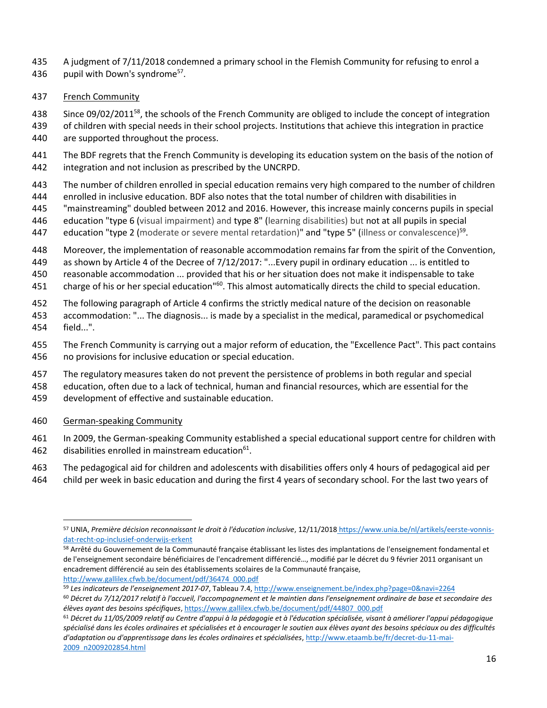- A judgment of 7/11/2018 condemned a primary school in the Flemish Community for refusing to enrol a
- 436 pupil with Down's syndrome<sup>57</sup>.
- French Community

438 Since 09/02/2011<sup>58</sup>, the schools of the French Community are obliged to include the concept of integration

- of children with special needs in their school projects. Institutions that achieve this integration in practice are supported throughout the process.
- The BDF regrets that the French Community is developing its education system on the basis of the notion of integration and not inclusion as prescribed by the UNCRPD.
- The number of children enrolled in special education remains very high compared to the number of children
- enrolled in inclusive education. BDF also notes that the total number of children with disabilities in
- "mainstreaming" doubled between 2012 and 2016. However, this increase mainly concerns pupils in special
- education "type 6 (visual impairment) and type 8" (learning disabilities) but not at all pupils in special
- 447 education "type 2 (moderate or severe mental retardation)" and "type 5" (illness or convalescence)<sup>59</sup>.
- Moreover, the implementation of reasonable accommodation remains far from the spirit of the Convention,
- as shown by Article 4 of the Decree of 7/12/2017: "...Every pupil in ordinary education ... is entitled to
- reasonable accommodation ... provided that his or her situation does not make it indispensable to take
- 451 charge of his or her special education<sup>"60</sup>. This almost automatically directs the child to special education.
- The following paragraph of Article 4 confirms the strictly medical nature of the decision on reasonable
- accommodation: "... The diagnosis... is made by a specialist in the medical, paramedical or psychomedical field...".
- The French Community is carrying out a major reform of education, the "Excellence Pact". This pact contains no provisions for inclusive education or special education.
- The regulatory measures taken do not prevent the persistence of problems in both regular and special
- education, often due to a lack of technical, human and financial resources, which are essential for the
- development of effective and sustainable education.
- German-speaking Community

l

- In 2009, the German-speaking Community established a special educational support centre for children with 462 disabilities enrolled in mainstream education.
- The pedagogical aid for children and adolescents with disabilities offers only 4 hours of pedagogical aid per
- child per week in basic education and during the first 4 years of secondary school. For the last two years of

 UNIA, *Première décision reconnaissant le droit à l'éducation inclusive*, 12/11/2018 [https://www.unia.be/nl/artikels/eerste-vonnis](https://www.unia.be/nl/artikels/eerste-vonnis-dat-recht-op-inclusief-onderwijs-erkent)[dat-recht-op-inclusief-onderwijs-erkent](https://www.unia.be/nl/artikels/eerste-vonnis-dat-recht-op-inclusief-onderwijs-erkent)

<sup>58</sup> Arrêté du Gouvernement de la Communauté française établissant les listes des implantations de l'enseignement fondamental et de l'enseignement secondaire bénéficiaires de l'encadrement différencié…, modifié par le décret du 9 février 2011 organisant un encadrement différencié au sein des établissements scolaires de la Communauté française, [http://www.gallilex.cfwb.be/document/pdf/36474\\_000.pdf](http://www.gallilex.cfwb.be/document/pdf/36474_000.pdf)

*Les indicateurs de l'enseignement 2017-07*, Tableau 7.4,<http://www.enseignement.be/index.php?page=0&navi=2264>

 *Décret du 7/12/2017 relatif à l'accueil, l'accompagnement et le maintien dans l'enseignement ordinaire de base et secondaire des élèves ayant des besoins spécifiques*[, https://www.gallilex.cfwb.be/document/pdf/44807\\_000.pdf](https://www.gallilex.cfwb.be/document/pdf/44807_000.pdf)

 *Décret du 11/05/2009 relatif au Centre d'appui à la pédagogie et à l'éducation spécialisée, visant à améliorer l'appui pédagogique spécialisé dans les écoles ordinaires et spécialisées et à encourager le soutien aux élèves ayant des besoins spéciaux ou des difficultés d'adaptation ou d'apprentissage dans les écoles ordinaires et spécialisées*[, http://www.etaamb.be/fr/decret-du-11-mai-](http://www.etaamb.be/fr/decret-du-11-mai-2009_n2009202854.html)[2009\\_n2009202854.html](http://www.etaamb.be/fr/decret-du-11-mai-2009_n2009202854.html)